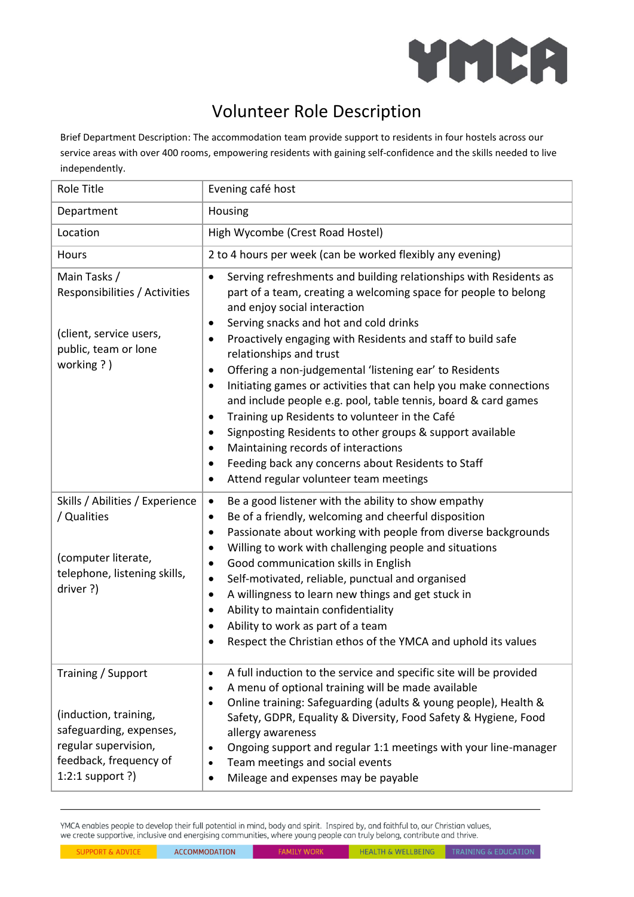

## Volunteer Role Description

Brief Department Description: The accommodation team provide support to residents in four hostels across our service areas with over 400 rooms, empowering residents with gaining self-confidence and the skills needed to live independently.

| Role Title                                                                                                                                     | Evening café host                                                                                                                                                                                                                                                                                                                                                                                                                                                                                                                                                                                                                                                                                                                                                                                                                   |
|------------------------------------------------------------------------------------------------------------------------------------------------|-------------------------------------------------------------------------------------------------------------------------------------------------------------------------------------------------------------------------------------------------------------------------------------------------------------------------------------------------------------------------------------------------------------------------------------------------------------------------------------------------------------------------------------------------------------------------------------------------------------------------------------------------------------------------------------------------------------------------------------------------------------------------------------------------------------------------------------|
| Department                                                                                                                                     | Housing                                                                                                                                                                                                                                                                                                                                                                                                                                                                                                                                                                                                                                                                                                                                                                                                                             |
| Location                                                                                                                                       | High Wycombe (Crest Road Hostel)                                                                                                                                                                                                                                                                                                                                                                                                                                                                                                                                                                                                                                                                                                                                                                                                    |
| Hours                                                                                                                                          | 2 to 4 hours per week (can be worked flexibly any evening)                                                                                                                                                                                                                                                                                                                                                                                                                                                                                                                                                                                                                                                                                                                                                                          |
| Main Tasks /<br>Responsibilities / Activities<br>(client, service users,<br>public, team or lone<br>working ?)                                 | Serving refreshments and building relationships with Residents as<br>$\bullet$<br>part of a team, creating a welcoming space for people to belong<br>and enjoy social interaction<br>Serving snacks and hot and cold drinks<br>$\bullet$<br>Proactively engaging with Residents and staff to build safe<br>relationships and trust<br>Offering a non-judgemental 'listening ear' to Residents<br>$\bullet$<br>Initiating games or activities that can help you make connections<br>٠<br>and include people e.g. pool, table tennis, board & card games<br>Training up Residents to volunteer in the Café<br>Signposting Residents to other groups & support available<br>$\bullet$<br>Maintaining records of interactions<br>Feeding back any concerns about Residents to Staff<br>٠<br>Attend regular volunteer team meetings<br>٠ |
| Skills / Abilities / Experience<br>/ Qualities<br>(computer literate,<br>telephone, listening skills,<br>driver ?)                             | Be a good listener with the ability to show empathy<br>$\bullet$<br>Be of a friendly, welcoming and cheerful disposition<br>٠<br>Passionate about working with people from diverse backgrounds<br>٠<br>Willing to work with challenging people and situations<br>$\bullet$<br>Good communication skills in English<br>$\bullet$<br>Self-motivated, reliable, punctual and organised<br>$\bullet$<br>A willingness to learn new things and get stuck in<br>٠<br>Ability to maintain confidentiality<br>$\bullet$<br>Ability to work as part of a team<br>٠<br>Respect the Christian ethos of the YMCA and uphold its values                                                                                                                                                                                                          |
| Training / Support<br>(induction, training,<br>safeguarding, expenses,<br>regular supervision,<br>feedback, frequency of<br>$1:2:1$ support ?) | A full induction to the service and specific site will be provided<br>$\bullet$<br>A menu of optional training will be made available<br>$\bullet$<br>Online training: Safeguarding (adults & young people), Health &<br>$\bullet$<br>Safety, GDPR, Equality & Diversity, Food Safety & Hygiene, Food<br>allergy awareness<br>Ongoing support and regular 1:1 meetings with your line-manager<br>Team meetings and social events<br>Mileage and expenses may be payable                                                                                                                                                                                                                                                                                                                                                             |

YMCA enables people to develop their full potential in mind, body and spirit. Inspired by, and faithful to, our Christian values, we create supportive, inclusive and energising communities, where young people can truly belong, contribute and thrive.